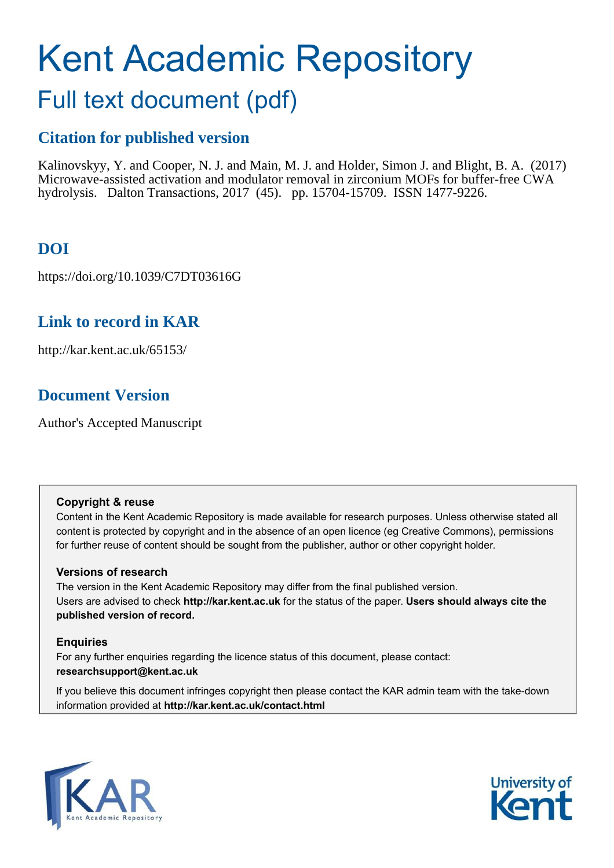# Kent Academic Repository

## Full text document (pdf)

## **Citation for published version**

Kalinovskyy, Y. and Cooper, N. J. and Main, M. J. and Holder, Simon J. and Blight, B. A. (2017) Microwave-assisted activation and modulator removal in zirconium MOFs for buffer-free CWA hydrolysis. Dalton Transactions, 2017 (45). pp. 15704-15709. ISSN 1477-9226.

## **DOI**

https://doi.org/10.1039/C7DT03616G

## **Link to record in KAR**

http://kar.kent.ac.uk/65153/

## **Document Version**

Author's Accepted Manuscript

### **Copyright & reuse**

Content in the Kent Academic Repository is made available for research purposes. Unless otherwise stated all content is protected by copyright and in the absence of an open licence (eg Creative Commons), permissions for further reuse of content should be sought from the publisher, author or other copyright holder.

### **Versions of research**

The version in the Kent Academic Repository may differ from the final published version. Users are advised to check **http://kar.kent.ac.uk** for the status of the paper. **Users should always cite the published version of record.**

### **Enquiries**

For any further enquiries regarding the licence status of this document, please contact: **researchsupport@kent.ac.uk**

If you believe this document infringes copyright then please contact the KAR admin team with the take-down information provided at **http://kar.kent.ac.uk/contact.html**



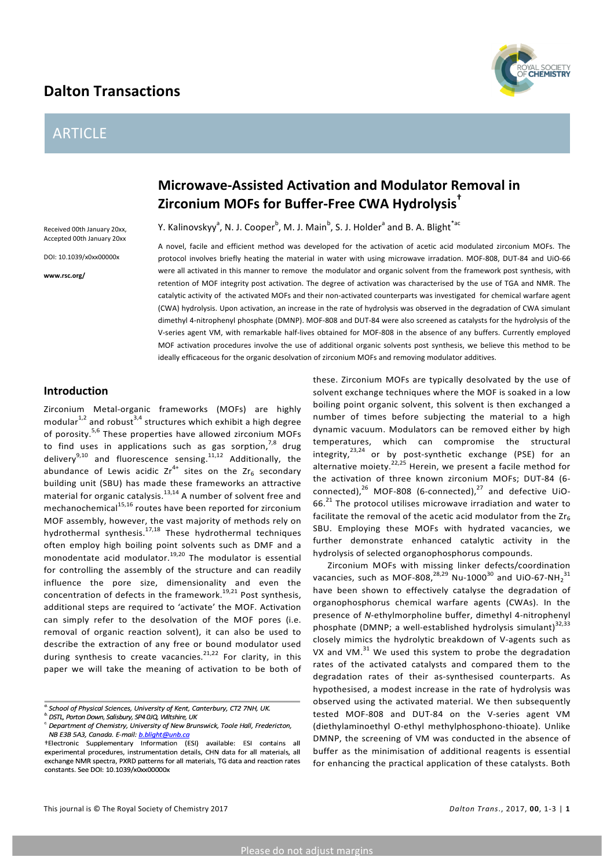## **Dalton Transactions**

## ARTICLE



## **Microwave-Assisted Activation and Modulator Removal in Zirconium MOFs for Buffer-Free CWA Hydrolysis†**

Y. Kalinovskyy<sup>a</sup>, N. J. Cooper<sup>b</sup>, M. J. Main<sup>b</sup>, S. J. Holder<sup>a</sup> and B. A. Blight<sup>\*ac</sup>

Received 00th January 20xx. Accepted 00th January 20xx

DOI: 10.1039/x0xx00000x

**www.rsc.org/**

A novel, facile and efficient method was developed for the activation of acetic acid modulated zirconium MOFs. The protocol involves briefly heating the material in water with using microwave irradation. MOF-808, DUT-84 and UiO-66 were all activated in this manner to remove the modulator and organic solvent from the framework post synthesis, with retention of MOF integrity post activation. The degree of activation was characterised by the use of TGA and NMR. The catalytic activity of the activated MOFs and their non-activated counterparts was investigated for chemical warfare agent (CWA) hydrolysis. Upon activation, an increase in the rate of hydrolysis was observed in the degradation of CWA simulant dimethyl 4-nitrophenyl phosphate (DMNP). MOF-808 and DUT-84 were also screened as catalysts for the hydrolysis of the V-series agent VM, with remarkable half-lives obtained for MOF-808 in the absence of any buffers. Currently employed MOF activation procedures involve the use of additional organic solvents post synthesis, we believe this method to be ideally efficaceous for the organic desolvation of zirconium MOFs and removing modulator additives.

#### **Introduction**

Zirconium Metal-organic frameworks (MOFs) are highly modular<sup>1,2</sup> and robust<sup>3,4</sup> structures which exhibit a high degree of porosity.<sup>5,6</sup> These properties have allowed zirconium MOFs to find uses in applications such as gas sorption,  $^{7,8}$  drug delivery<sup>9,10</sup> and fluorescence sensing.<sup>11,12</sup> Additionally, the abundance of Lewis acidic  $Zr^{4+}$  sites on the  $Zr_6$  secondary building unit (SBU) has made these frameworks an attractive material for organic catalysis. $^{13,14}$  A number of solvent free and mechanochemical<sup>15,16</sup> routes have been reported for zirconium MOF assembly, however, the vast majority of methods rely on hydrothermal synthesis.<sup>17,18</sup> These hydrothermal techniques often employ high boiling point solvents such as DMF and a monodentate acid modulator.<sup>19,20</sup> The modulator is essential for controlling the assembly of the structure and can readily influence the pore size, dimensionality and even the concentration of defects in the framework.<sup>19,21</sup> Post synthesis, additional steps are required to 'activate' the MOF. Activation can simply refer to the desolvation of the MOF pores (i.e. removal of organic reaction solvent), it can also be used to describe the extraction of any free or bound modulator used during synthesis to create vacancies.<sup>21,22</sup> For clarity, in this paper we will take the meaning of activation to be both of

these. Zirconium MOFs are typically desolvated by the use of solvent exchange techniques where the MOF is soaked in a low boiling point organic solvent, this solvent is then exchanged a number of times before subjecting the material to a high dynamic vacuum. Modulators can be removed either by high temperatures, which can compromise the structural integrity, $^{23,24}$  or by post-synthetic exchange (PSE) for an alternative moiety.<sup>22,25</sup> Herein, we present a facile method for the activation of three known zirconium MOFs; DUT-84 (6connected), $^{26}$  MOF-808 (6-connected), $^{27}$  and defective UiO-66. $^{21}$  The protocol utilises microwave irradiation and water to facilitate the removal of the acetic acid modulator from the  $Zr_6$ SBU. Employing these MOFs with hydrated vacancies, we further demonstrate enhanced catalytic activity in the hydrolysis of selected organophosphorus compounds.

Zirconium MOFs with missing linker defects/coordination vacancies, such as MOF-808, $^{28,29}$  Nu-1000 $^{30}$  and UiO-67-NH $_2^{\ 31}$ have been shown to effectively catalyse the degradation of organophosphorus chemical warfare agents (CWAs). In the presence of *N*-ethylmorpholine buffer, dimethyl 4-nitrophenyl phosphate (DMNP; a well-established hydrolysis simulant) $^{32,33}$ closely mimics the hydrolytic breakdown of V-agents such as VX and VM. $^{31}$  We used this system to probe the degradation rates of the activated catalysts and compared them to the degradation rates of their as-synthesised counterparts. As hypothesised, a modest increase in the rate of hydrolysis was observed using the activated material. We then subsequently tested MOF-808 and DUT-84 on the V-series agent VM (diethylaminoethyl O-ethyl methylphosphono-thioate). Unlike DMNP, the screening of VM was conducted in the absence of buffer as the minimisation of additional reagents is essential for enhancing the practical application of these catalysts. Both

<sup>&</sup>lt;sup>a</sup> School of Physical Sciences, University of Kent, Canterbury, CT2 7NH, UK.

b<br>DSTL, Porton Down, Salisbury, SP4 0JQ, Wiltshire, UK

 $^c$  Department of Chemistry, University of New Brunswick, Toole Hall, Fredericton, NB E3B 5A3, Canada. E-mail: b.blight@unb.co

<sup>+</sup>Electronic Supplementary Information (ESI) available: ESI contains all experimental procedures, instrumentation details, CHN data for all materials, all exchange NMR spectra, PXRD patterns for all materials, TG data and reaction rates constants. See DOI: 10.1039/x0xx00000x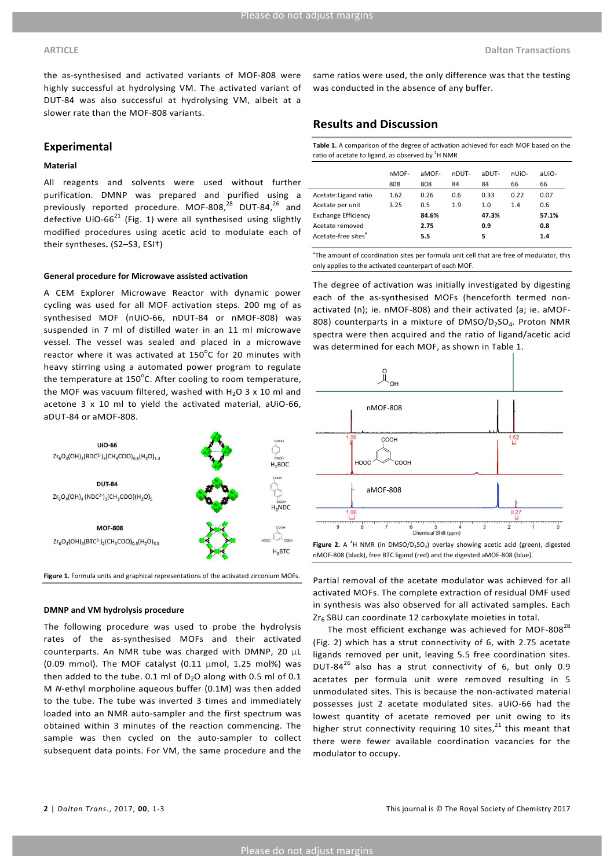the as-synthesised and activated variants of MOF-808 were highly successful at hydrolysing VM. The activated variant of DUT-84 was also successful at hydrolysing VM, albeit at a slower rate than the MOF-808 variants.

#### **Experimental**

#### **Material**

All reagents and solvents were used without further purification. DMNP was prepared and purified using a previously reported procedure. MOF-808, $^{28}$  DUT-84, $^{26}$  and defective  $U$ iO-66<sup>21</sup> (Fig. 1) were all synthesised using slightly modified procedures using acetic acid to modulate each of their syntheses. (S2-S3, ESI<sup>†</sup>)

#### **General procedure for Microwave assisted activation**

A CEM Explorer Microwave Reactor with dynamic power cycling was used for all MOF activation steps. 200 mg of as synthesised MOF (nUiO-66, nDUT-84 or nMOF-808) was suspended in 7 ml of distilled water in an 11 ml microwave vessel. The vessel was sealed and placed in a microwave reactor where it was activated at 150 $^{\circ}$ C for 20 minutes with heavy stirring using a automated power program to regulate the temperature at 150 $^{\circ}$ C. After cooling to room temperature, the MOF was vacuum filtered, washed with  $H_2O$  3 x 10 ml and acetone  $3 \times 10$  ml to yield the activated material, aUiO-66, aDUT-84 or aMOF-808.



Figure 1. Formula units and graphical representations of the activated zirconium MOFs.

#### **DMNP and VM hydrolysis procedure**

The following procedure was used to probe the hydrolysis rates of the as-synthesised MOFs and their activated counterparts. An NMR tube was charged with DMNP, 20  $\mu$ L (0.09 mmol). The MOF catalyst  $(0.11 \mu \text{mol}, 1.25 \text{ mol})$  was then added to the tube. 0.1 ml of  $D_2O$  along with 0.5 ml of 0.1 M *N*-ethyl morpholine aqueous buffer (0.1M) was then added to the tube. The tube was inverted 3 times and immediately loaded into an NMR auto-sampler and the first spectrum was obtained within 3 minutes of the reaction commencing. The sample was then cycled on the auto-sampler to collect subsequent data points. For VM, the same procedure and the same ratios were used, the only difference was that the testing was conducted in the absence of any buffer.

#### **Results and Discussion**

Table 1. A comparison of the degree of activation achieved for each MOF based on the ratio of acetate to ligand, as observed by  $^1$ H NMR

|                                 | nMOF-<br>808 | aMOF-<br>808 | nDUT-<br>84 | aDUT-<br>84 | nUiO-<br>66 | aUiO-<br>66 |
|---------------------------------|--------------|--------------|-------------|-------------|-------------|-------------|
| Acetate: Ligand ratio           | 1.62         | 0.26         | 0.6         | 0.33        | 0.22        | 0.07        |
| Acetate per unit                | 3.25         | 0.5          | 1.9         | 1.0         | 1.4         | 0.6         |
| <b>Exchange Efficiency</b>      |              | 84.6%        |             | 47.3%       |             | 57.1%       |
| Acetate removed                 |              | 2.75         |             | 0.9         |             | 0.8         |
| Acetate-free sites <sup>a</sup> |              | 5.5          |             | 5           |             | 1.4         |

<sup>a</sup>The amount of coordination sites per formula unit cell that are free of modulator, this only applies to the activated counterpart of each MOF.

The degree of activation was initially investigated by digesting each of the as-synthesised MOFs (henceforth termed nonactivated (n); ie. nMOF-808) and their activated (a; ie. aMOF-808) counterparts in a mixture of  $DMSO/D_2SO_4$ . Proton NMR spectra were then acquired and the ratio of ligand/acetic acid was determined for each MOF, as shown in Table 1.



**Figure 2.** A <sup>1</sup>H NMR (in DMSO/D<sub>2</sub>SO<sub>4</sub>) overlay showing acetic acid (green), digested nMOF-808 (black), free BTC ligand (red) and the digested aMOF-808 (blue).

Partial removal of the acetate modulator was achieved for all activated MOFs. The complete extraction of residual DMF used in synthesis was also observed for all activated samples. Each  $Zr_6$  SBU can coordinate 12 carboxylate moieties in total.

The most efficient exchange was achieved for MOF-808 $^{28}$ (Fig. 2) which has a strut connectivity of 6, with 2.75 acetate ligands removed per unit, leaving 5.5 free coordination sites. DUT-84 $^{26}$  also has a strut connectivity of 6, but only 0.9 acetates per formula unit were removed resulting in 5 unmodulated sites. This is because the non-activated material possesses just 2 acetate modulated sites. aUiO-66 had the lowest quantity of acetate removed per unit owing to its higher strut connectivity requiring 10 sites, $^{21}$  this meant that there were fewer available coordination vacancies for the modulator to occupy.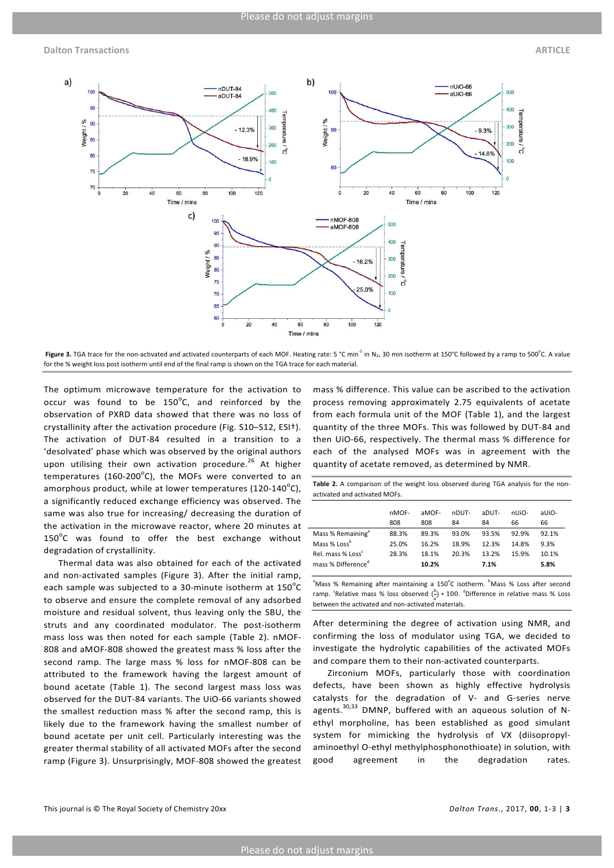**Dalton Transactions ARTICLE**



Figure 3. TGA trace for the non-activated and activated counterparts of each MOF. Heating rate: 5 °C min<sup>-1</sup> in N<sub>2</sub>, 30 min isotherm at 150°C followed by a ramp to 500°C. A value for the % weight loss post isotherm until end of the final ramp is shown on the TGA trace for each material.

The optimum microwave temperature for the activation to occur was found to be 150 $^{\circ}$ C, and reinforced by the observation of PXRD data showed that there was no loss of crystallinity after the activation procedure (Fig. S10-S12, ESI<sup>†</sup>). The activation of DUT-84 resulted in a transition to a 'desolvated' phase which was observed by the original authors upon utilising their own activation procedure.<sup>26</sup> At higher temperatures (160-200 $^{\circ}$ C), the MOFs were converted to an amorphous product, while at lower temperatures (120-140 $^{\circ}$ C), a significantly reduced exchange efficiency was observed. The same was also true for increasing/ decreasing the duration of the activation in the microwave reactor, where 20 minutes at - $150^{\circ}$ C was found to offer the best exchange without degradation of crystallinity.

Thermal data was also obtained for each of the activated and non-activated samples (Figure 3). After the initial ramp, each sample was subjected to a 30-minute isotherm at 150 $^{\circ}$ C to observe and ensure the complete removal of any adsorbed moisture and residual solvent, thus leaving only the SBU, the struts and any coordinated modulator. The post-isotherm mass loss was then noted for each sample (Table 2). nMOF-808 and aMOF-808 showed the greatest mass % loss after the second ramp. The large mass % loss for nMOF-808 can be attributed to the framework having the largest amount of bound acetate (Table 1). The second largest mass loss was observed for the DUT-84 variants. The UiO-66 variants showed the smallest reduction mass % after the second ramp, this is likely due to the framework having the smallest number of bound acetate per unit cell. Particularly interesting was the greater thermal stability of all activated MOFs after the second ramp (Figure 3). Unsurprisingly, MOF-808 showed the greatest

mass % difference. This value can be ascribed to the activation process removing approximately 2.75 equivalents of acetate from each formula unit of the MOF (Table 1), and the largest quantity of the three MOFs. This was followed by DUT-84 and then UiO-66, respectively. The thermal mass % difference for each of the analysed MOFs was in agreement with the quantity of acetate removed, as determined by NMR.

Table 2. A comparison of the weight loss observed during TGA analysis for the nonactivated and activated MOFs.

|                                | nMOF-<br>808 | aMOF-<br>808 | nDUT-<br>84 | aDUT-<br>84 | nUiO-<br>66 | aUiO-<br>66 |
|--------------------------------|--------------|--------------|-------------|-------------|-------------|-------------|
| Mass % Remaining <sup>a</sup>  | 88.3%        | 89.3%        | 93.0%       | 93.5%       | 92.9%       | 92.1%       |
| Mass % Lossb                   | 25.0%        | 16.2%        | 18.9%       | 12.3%       | 14.8%       | 9.3%        |
| Rel. mass % Loss <sup>c</sup>  | 28.3%        | 18.1%        | 20.3%       | 13.2%       | 15.9%       | 10.1%       |
| mass % Difference <sup>d</sup> |              | 10.2%        |             | 7.1%        |             | 5.8%        |

<sup>a</sup>Mass % Remaining after maintaining a 150°C isotherm. <sup>b</sup>Mass % Loss after second ramp. "Relative mass % loss observed  $\binom{b}{1} * 100$ . "Difference in relative mass % Loss between the activated and non-activated materials.

After determining the degree of activation using NMR, and confirming the loss of modulator using TGA, we decided to investigate the hydrolytic capabilities of the activated MOFs and compare them to their non-activated counterparts.

Zirconium MOFs, particularly those with coordination defects, have been shown as highly effective hydrolysis catalysts for the degradation of V- and G-series nerve agents.<sup>30,33</sup> DMNP, buffered with an aqueous solution of Nethyl morpholine, has been established as good simulant system for mimicking the hydrolysis of VX (diisopropylaminoethyl O-ethyl methylphosphonothioate) in solution, with good agreement in the degradation rates.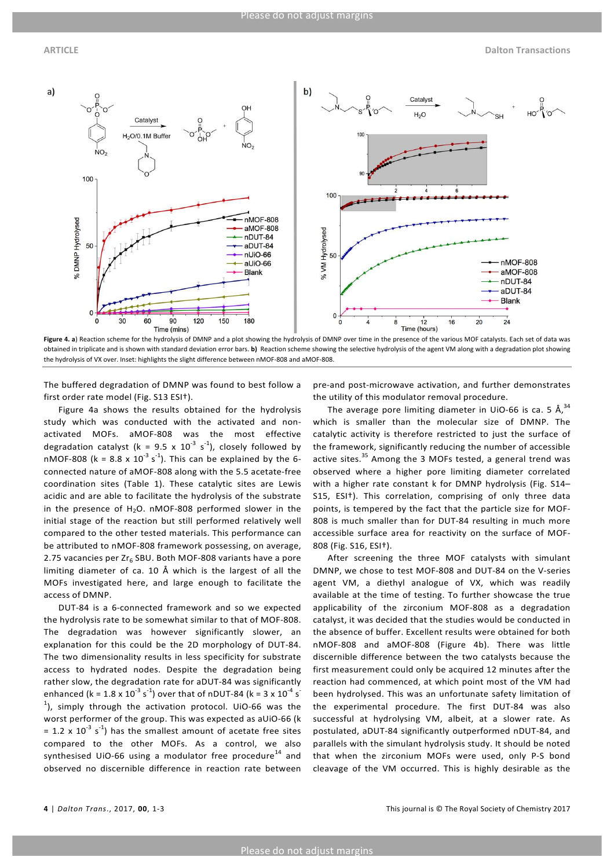

Figure 4. a) Reaction scheme for the hydrolysis of DMNP and a plot showing the hydrolysis of DMNP over time in the presence of the various MOF catalysts. Each set of data was obtained in triplicate and is shown with standard deviation error bars. b) Reaction scheme showing the selective hydrolysis of the agent VM along with a degradation plot showing the hydrolysis of VX over. Inset: highlights the slight difference between nMOF-808 and aMOF-808.

The buffered degradation of DMNP was found to best follow a first order rate model (Fig. S13 ESI<sup>+</sup>).

Figure 4a shows the results obtained for the hydrolysis study which was conducted with the activated and nonactivated MOFs. aMOF-808 was the most effective degradation catalyst (k = 9.5 x  $10^{-3}$  s<sup>-1</sup>), closely followed by nMOF-808 (k = 8.8 x  $10^{-3}$  s<sup>-1</sup>). This can be explained by the 6connected nature of aMOF-808 along with the 5.5 acetate-free coordination sites (Table 1). These catalytic sites are Lewis acidic and are able to facilitate the hydrolysis of the substrate in the presence of  $H_2O$ . nMOF-808 performed slower in the initial stage of the reaction but still performed relatively well compared to the other tested materials. This performance can be attributed to nMOF-808 framework possessing, on average, 2.75 vacancies per  $Zr_6$  SBU. Both MOF-808 variants have a pore limiting diameter of ca. 10 Å which is the largest of all the MOFs investigated here, and large enough to facilitate the access of DMNP.

DUT-84 is a 6-connected framework and so we expected the hydrolysis rate to be somewhat similar to that of MOF-808. The degradation was however significantly slower, an explanation for this could be the 2D morphology of DUT-84. The two dimensionality results in less specificity for substrate access to hydrated nodes. Despite the degradation being rather slow, the degradation rate for aDUT-84 was significantly enhanced (k =  $1.8 \times 10^{-3}$  s<sup>-1</sup>) over that of nDUT-84 (k =  $3 \times 10^{-4}$  s $^{-1}$  $^{1}$ ), simply through the activation protocol. UiO-66 was the worst performer of the group. This was expected as aUiO-66 (k = 1.2 x 10<sup>-3</sup> s<sup>-1</sup>) has the smallest amount of acetate free sites compared to the other MOFs. As a control, we also synthesised UiO-66 using a modulator free procedure<sup>14</sup> and observed no discernible difference in reaction rate between

pre-and post-microwave activation, and further demonstrates the utility of this modulator removal procedure.

The average pore limiting diameter in UiO-66 is ca. 5  $\text{\AA}^{34}$ which is smaller than the molecular size of DMNP. The catalytic activity is therefore restricted to just the surface of the framework, significantly reducing the number of accessible active sites. $^{35}$  Among the 3 MOFs tested, a general trend was observed where a higher pore limiting diameter correlated with a higher rate constant k for DMNP hydrolysis (Fig. S14-S15, ESI<sup>†</sup>). This correlation, comprising of only three data points, is tempered by the fact that the particle size for MOF-808 is much smaller than for DUT-84 resulting in much more accessible surface area for reactivity on the surface of MOF-808 (Fig. S16, ESI†). 

After screening the three MOF catalysts with simulant DMNP, we chose to test MOF-808 and DUT-84 on the V-series agent VM, a diethyl analogue of VX, which was readily available at the time of testing. To further showcase the true applicability of the zirconium MOF-808 as a degradation catalyst, it was decided that the studies would be conducted in the absence of buffer. Excellent results were obtained for both nMOF-808 and aMOF-808 (Figure 4b). There was little discernible difference between the two catalysts because the first measurement could only be acquired 12 minutes after the reaction had commenced, at which point most of the VM had been hydrolysed. This was an unfortunate safety limitation of the experimental procedure. The first DUT-84 was also successful at hydrolysing VM, albeit, at a slower rate. As postulated, aDUT-84 significantly outperformed nDUT-84, and parallels with the simulant hydrolysis study. It should be noted that when the zirconium MOFs were used, only P-S bond cleavage of the VM occurred. This is highly desirable as the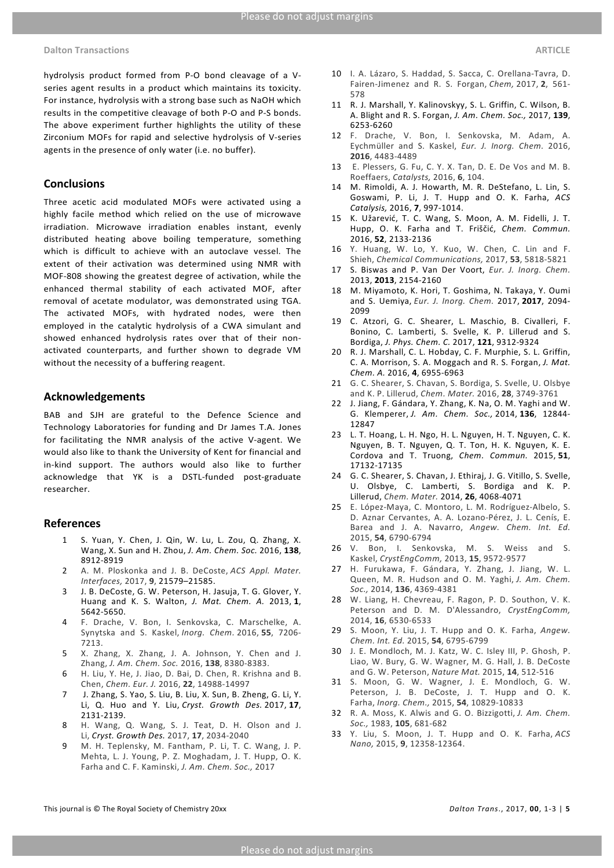hydrolysis product formed from P-O bond cleavage of a Vseries agent results in a product which maintains its toxicity. For instance, hydrolysis with a strong base such as NaOH which results in the competitive cleavage of both P-O and P-S bonds. The above experiment further highlights the utility of these Zirconium MOFs for rapid and selective hydrolysis of V-series agents in the presence of only water (i.e. no buffer).

#### **Conclusions**

Three acetic acid modulated MOFs were activated using a highly facile method which relied on the use of microwave irradiation. Microwave irradiation enables instant, evenly distributed heating above boiling temperature, something which is difficult to achieve with an autoclave vessel. The extent of their activation was determined using NMR with MOF-808 showing the greatest degree of activation, while the enhanced thermal stability of each activated MOF, after removal of acetate modulator, was demonstrated using TGA. The activated MOFs, with hydrated nodes, were then employed in the catalytic hydrolysis of a CWA simulant and showed enhanced hydrolysis rates over that of their nonactivated counterparts, and further shown to degrade VM without the necessity of a buffering reagent.

#### **Acknowledgements**

BAB and SJH are grateful to the Defence Science and Technology Laboratories for funding and Dr James T.A. Jones for facilitating the NMR analysis of the active V-agent. We would also like to thank the University of Kent for financial and in-kind support. The authors would also like to further acknowledge that YK is a DSTL-funded post-graduate researcher.

#### **References**

- 1 S. Yuan, Y. Chen, J. Qin, W. Lu, L. Zou, Q. Zhang, X. Wang, X. Sun and H. Zhou, *J. Am. Chem. Soc.* 2016, **138**, 8912-8919
- 2 A. M. Ploskonka and J. B. DeCoste, *ACS Appl. Mater. Interfaces,* 2017, **9**, 21579–21585.
- 3 J. B. DeCoste, G. W. Peterson, H. Jasuja, T. G. Glover, Y. Huang and K. S. Walton, *J. Mat. Chem. A.*  2013, **1**, 5642-5650.
- 4 F. Drache, V. Bon, I. Senkovska, C. Marschelke, A. Synytska and S. Kaskel, *Inorg. Chem.* 2016, **55**, 7206- 7213.
- 5 X. Zhang, X. Zhang, J. A. Johnson, Y. Chen and J. Zhang, *J. Am. Chem. Soc.* 2016, **138**, 8380-8383.
- 6 H. Liu, Y. He, J. Jiao, D. Bai, D. Chen, R. Krishna and B. Chen, *Chem. Eur. J.* 2016, **22**, 14988-14997
- 7 J. Zhang, S. Yao, S. Liu, B. Liu, X. Sun, B. Zheng, G. Li, Y. Li, Q. Huo and Y. Liu, *Cryst. Growth Des.* 2017, **17**, 2131-2139.
- 8 H. Wang, Q. Wang, S. J. Teat, D. H. Olson and J. Li, *Cryst. Growth Des.* 2017, **17**, 2034-2040
- 9 M. H. Teplensky, M. Fantham, P. Li, T. C. Wang, J. P. Mehta, L. J. Young, P. Z. Moghadam, J. T. Hupp, O. K. Farha and C. F. Kaminski, *J. Am. Chem. Soc.*, 2017
- 10 I. A. Lázaro, S. Haddad, S. Sacca, C. Orellana-Tavra, D. Fairen-Jimenez and R. S. Forgan, *Chem*, 2017, 2, 561-578
- 11 R. J. Marshall, Y. Kalinovskyy, S. L. Griffin, C. Wilson, B. A. Blight and R. S. Forgan, *J. Am. Chem. Soc.,* 2017, **139**, 6253-6260
- 12 F. Drache, V. Bon, I. Senkovska, M. Adam, A. Eychmüller and S. Kaskel, *Eur. J. Inorg. Chem.*  2016, **2016**, 4483-4489
- 13 E. Plessers, G. Fu, C. Y. X. Tan, D. E. De Vos and M. B. Roeffaers, *Catalysts,* 2016, **6**, 104.
- 14 M. Rimoldi, A. J. Howarth, M. R. DeStefano, L. Lin, S. Goswami, P. Li, J. T. Hupp and O. K. Farha, ACS *Catalysis,* 2016, **7**, 997-1014.
- 15 K. Užarević, T. C. Wang, S. Moon, A. M. Fidelli, J. T. Hupp, O. K. Farha and T. Friščić, *Chem. Commun.* 2016, **52**, 2133-2136
- 16 Y. Huang, W. Lo, Y. Kuo, W. Chen, C. Lin and F. Shieh, *Chemical Communications,* 2017, **53**, 5818-5821
- 17 S. Biswas and P. Van Der Voort, *Eur. J. Inorg. Chem.* 2013, **2013**, 2154-2160
- 18 M. Miyamoto, K. Hori, T. Goshima, N. Takaya, Y. Oumi and S. Uemiya, *Eur. J. Inorg. Chem.*  2017, **2017**, 2094- 2099
- 19 C. Atzori, G. C. Shearer, L. Maschio, B. Civalleri, F. Bonino, C. Lamberti, S. Svelle, K. P. Lillerud and S. Bordiga, *J. Phys. Chem. C.* 2017, **121**, 9312-9324
- 20 R. J. Marshall, C. L. Hobday, C. F. Murphie, S. L. Griffin, C. A. Morrison, S. A. Moggach and R. S. Forgan, *J. Mat. Chem. A.* 2016, **4**, 6955-6963
- 21 G. C. Shearer, S. Chavan, S. Bordiga, S. Svelle, U. Olsbye and K. P. Lillerud, *Chem. Mater.* 2016, **28**, 3749-3761
- 22 J. Jiang, F. Gándara, Y. Zhang, K. Na, O. M. Yaghi and W. G. Klemperer, *J. Am. Chem. Soc.,* 2014, **136**, 12844- 12847
- 23 L. T. Hoang, L. H. Ngo, H. L. Nguyen, H. T. Nguyen, C. K. Nguyen, B. T. Nguyen, Q. T. Ton, H. K. Nguyen, K. E. Cordova and T. Truong, *Chem. Commun.*  2015, **51**, 17132-17135
- 24 G. C. Shearer, S. Chavan, J. Ethiraj, J. G. Vitillo, S. Svelle, U. Olsbye, C. Lamberti, S. Bordiga and K. P. Lillerud, *Chem. Mater.* 2014, **26**, 4068-4071
- 25 E. López-Maya, C. Montoro, L. M. Rodríguez-Albelo, S. D. Aznar Cervantes, A. A. Lozano-Pérez, J. L. Cenís, E. Barea and J. A. Navarro, *Angew. Chem. Int. Ed.* 2015, **54**, 6790-6794
- 26 V. Bon, I. Senkovska, M. S. Weiss and S. Kaskel, *CrystEngComm,* 2013, **15**, 9572-9577
- 27 H. Furukawa, F. Gándara, Y. Zhang, J. Jiang, W. L. Queen, M. R. Hudson and O. M. Yaghi, *J. Am. Chem. Soc.,* 2014, **136**, 4369-4381
- 28 W. Liang, H. Chevreau, F. Ragon, P. D. Southon, V. K. Peterson and D. M. D'Alessandro, *CrystEngComm,* 2014, **16**, 6530-6533
- 29 S. Moon, Y. Liu, J. T. Hupp and O. K. Farha, *Angew. Chem. Int. Ed.* 2015, **54**, 6795-6799
- 30 J. E. Mondloch, M. J. Katz, W. C. Isley III, P. Ghosh, P. Liao, W. Bury, G. W. Wagner, M. G. Hall, J. B. DeCoste and G. W. Peterson, *Nature Mat.* 2015, **14**, 512-516
- 31 S. Moon, G. W. Wagner, J. E. Mondloch, G. W. Peterson, J. B. DeCoste, J. T. Hupp and O. K. Farha, *Inorg. Chem.,* 2015, **54**, 10829-10833
- 32 R. A. Moss, K. Alwis and G. O. Bizzigotti, *J. Am. Chem. Soc.,* 1983, **105**, 681-682
- 33 Y. Liu, S. Moon, J. T. Hupp and O. K. Farha, *ACS Nano,* 2015, **9**, 12358-12364.